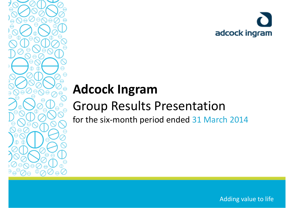

# **Adcock Ingram**

## Group Results Presentation

for the six‐month period ended 31 March 2014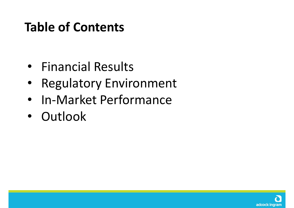## **Table of Contents**

- •**•** Financial Results
- •Regulatory Environment
- •• In-Market Performance
- $\bullet$ • Outlook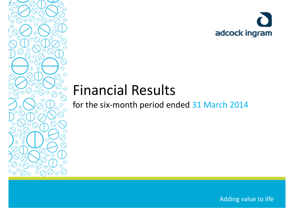

# Financial Results

for the six‐month period ended 31 March 2014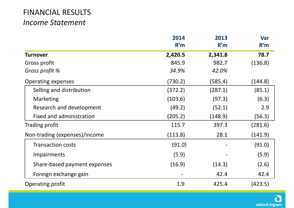#### FINANCIAL RESULTS *Income Statement*

|                               | 2014<br>R'm | 2013<br>R'm | Var<br>R'm |
|-------------------------------|-------------|-------------|------------|
| <b>Turnover</b>               | 2,420.5     | 2,341.8     | 78.7       |
| Gross profit                  | 845.9       | 982.7       | (136.8)    |
| Gross profit %                | 34.9%       | 42.0%       |            |
| <b>Operating expenses</b>     | (730.2)     | (585.4)     | (144.8)    |
| Selling and distribution      | (372.2)     | (287.1)     | (85.1)     |
| <b>Marketing</b>              | (103.6)     | (97.3)      | (6.3)      |
| Research and development      | (49.2)      | (52.1)      | 2.9        |
| Fixed and administration      | (205.2)     | (148.9)     | (56.3)     |
| Trading profit                | 115.7       | 397.3       | (281.6)    |
| Non-trading (expenses)/income | (113.8)     | 28.1        | (141.9)    |
| <b>Transaction costs</b>      | (91.0)      |             | (91.0)     |
| <b>Impairments</b>            | (5.9)       |             | (5.9)      |
| Share-based payment expenses  | (16.9)      | (14.3)      | (2.6)      |
| Foreign exchange gain         |             | 42.4        | 42.4       |
| Operating profit              | 1.9         | 425.4       | (423.5)    |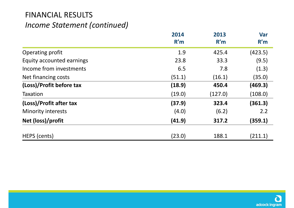### FINANCIAL RESULTS *Income Statement (continued)*

|                           | 2014<br>R'm | 2013<br>R'm | Var<br>R'm |
|---------------------------|-------------|-------------|------------|
| Operating profit          | 1.9         | 425.4       | (423.5)    |
| Equity accounted earnings | 23.8        | 33.3        | (9.5)      |
| Income from investments   | 6.5         | 7.8         | (1.3)      |
| Net financing costs       | (51.1)      | (16.1)      | (35.0)     |
| (Loss)/Profit before tax  | (18.9)      | 450.4       | (469.3)    |
| <b>Taxation</b>           | (19.0)      | (127.0)     | (108.0)    |
| (Loss)/Profit after tax   | (37.9)      | 323.4       | (361.3)    |
| <b>Minority interests</b> | (4.0)       | (6.2)       | 2.2        |
| Net (loss)/profit         | (41.9)      | 317.2       | (359.1)    |
| HEPS (cents)              | (23.0)      | 188.1       | (211.1)    |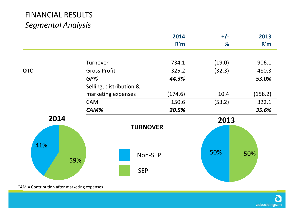|            |                         | 2014<br>R'm     | $+/-$<br>% | 2013<br>R'm |
|------------|-------------------------|-----------------|------------|-------------|
|            |                         |                 |            |             |
|            | Turnover                | 734.1           | (19.0)     | 906.1       |
| <b>OTC</b> | <b>Gross Profit</b>     | 325.2           | (32.3)     | 480.3       |
|            | $GP\%$                  | 44.3%           |            | 53.0%       |
|            | Selling, distribution & |                 |            |             |
|            | marketing expenses      | (174.6)         | 10.4       | (158.2)     |
|            | <b>CAM</b>              | 150.6           | (53.2)     | 322.1       |
|            | CAM%                    | 20.5%           |            | 35.6%       |
| 2014       |                         |                 | 2013       |             |
|            |                         | <b>TURNOVER</b> |            |             |
|            |                         |                 |            |             |
| 41%        |                         |                 |            |             |
| 59%        |                         | Non-SEP         | 50%        | 50%         |
|            |                         | <b>SEP</b>      |            |             |
|            |                         |                 |            |             |

CAM <sup>=</sup> Contribution after marketing expenses

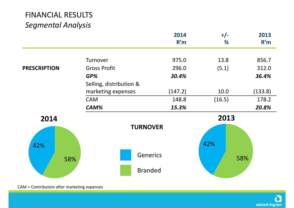|                     |                         | 2014<br>R'm | $+/-$<br>% | 2013<br>R'm |
|---------------------|-------------------------|-------------|------------|-------------|
|                     | Turnover                | 975.0       | 13.8       | 856.7       |
| <b>PRESCRIPTION</b> | <b>Gross Profit</b>     | 296.0       | (5.1)      | 312.0       |
|                     | GP%                     | 30.4%       |            | 36.4%       |
|                     | Selling, distribution & |             |            |             |
|                     | marketing expenses      | (147.2)     | 10.0       | (133.8)     |
|                     | <b>CAM</b>              | 148.8       | (16.5)     | 178.2       |
|                     | CAM%                    | 15.3%       |            | 20.8%       |
| 2014                |                         |             | 2013       |             |
|                     | <b>TURNOVER</b>         |             | 42%        |             |
| 42%<br>58%          | <b>Generics</b>         |             |            | 58%         |
|                     | <b>Branded</b>          |             |            |             |

CAM <sup>=</sup> Contribution after marketing expenses

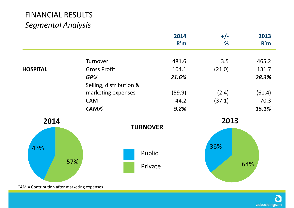|                 |                             | 2014<br>R'm | $+/-$<br>% | 2013<br>R'm |
|-----------------|-----------------------------|-------------|------------|-------------|
|                 | Turnover                    | 481.6       | 3.5        | 465.2       |
| <b>HOSPITAL</b> | <b>Gross Profit</b>         | 104.1       | (21.0)     | 131.7       |
|                 | $GP\%$                      | 21.6%       |            | 28.3%       |
|                 | Selling, distribution &     |             |            |             |
|                 | marketing expenses          | (59.9)      | (2.4)      | (61.4)      |
|                 | <b>CAM</b>                  | 44.2        | (37.1)     | 70.3        |
|                 | CAM%                        | 9.2%        |            | 15.1%       |
| 2014            | <b>TURNOVER</b>             |             | 2013       |             |
|                 |                             |             |            |             |
| 43%             | Public                      |             | 36%        |             |
| 57%             | Private                     |             |            | 64%         |
| $AA = C = 1$    | المترافية والمستوات والمتوا |             |            |             |

CAM <sup>=</sup> Contribution after marketing expenses

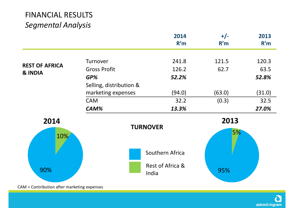|                                             |                         | 2014<br>R'm               | $+/-$<br>R'm | 2013<br>R'm |
|---------------------------------------------|-------------------------|---------------------------|--------------|-------------|
|                                             | Turnover                | 241.8                     | 121.5        | 120.3       |
| <b>REST OF AFRICA</b>                       | <b>Gross Profit</b>     | 126.2                     | 62.7         | 63.5        |
| & INDIA                                     | GP%                     | 52.2%                     |              | 52.8%       |
|                                             | Selling, distribution & |                           |              |             |
|                                             | marketing expenses      | (94.0)                    | (63.0)       | (31.0)      |
|                                             | <b>CAM</b>              | 32.2                      | (0.3)        | 32.5        |
|                                             | CAM%                    | 13.3%                     |              | 27.0%       |
| 2014                                        |                         |                           | 2013         |             |
| 10%                                         |                         | <b>TURNOVER</b>           | 5%           |             |
|                                             |                         | Southern Africa           |              |             |
| 90%                                         |                         | Rest of Africa &<br>India | 95%          |             |
| CAM = Contribution after marketing expenses |                         |                           |              |             |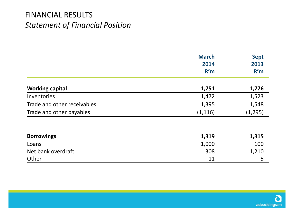#### FINANCIAL RESULTS *Statement of Financial Position*

|                             | <b>March</b> | <b>Sept</b> |
|-----------------------------|--------------|-------------|
|                             | 2014         | 2013        |
|                             | R'm          | R'm         |
| <b>Working capital</b>      | 1,751        | 1,776       |
| Inventories                 | 1,472        | 1,523       |
| Trade and other receivables | 1,395        | 1,548       |
| Trade and other payables    | (1, 116)     | (1, 295)    |
| <b>Borrowings</b>           | 1,319        | 1,315       |
| Loans                       | 1,000        | 100         |
| Net bank overdraft          | 308          | 1,210       |
| Other                       | 11           | 5           |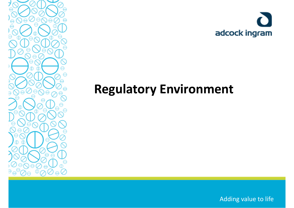



## **Regulatory Environment**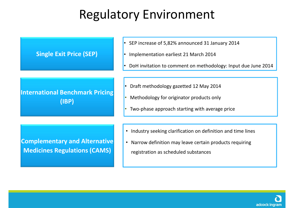## Regulatory Environment

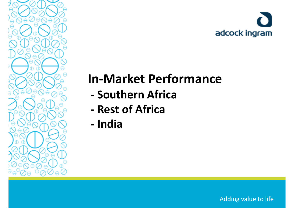

## **In‐Market Performance**

- **‐ Southern Africa**
- **‐ Rest of Africa**
- **‐ India**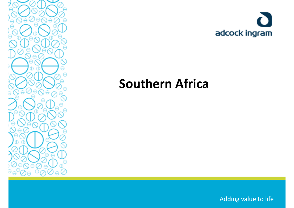



### **Southern Africa**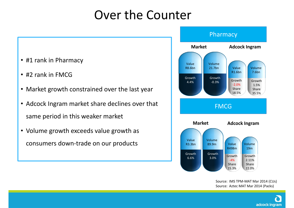### Over the Counter

- #1 rank in Pharmacy
- #2 rank in FMCG
- Market growth constrained over the last year
- Adcock Ingram market share declines over that same period in this weaker market
- Volume growth exceeds value growth as consumers down‐trade on our products



Source: IMS TPM‐MAT Mar 2014 (CUs) Source: Aztec MAT Mar 2014 (Packs)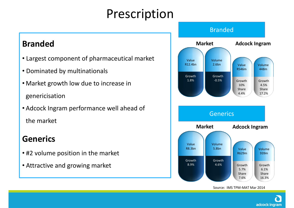### Prescription

### **Branded**

- Largest component of pharmaceutical market
- Dominated by multinationals
- Market growth low due to increase in genericisation
- Adcock Ingram performance well ahead of the market

### **Generics**

- #2 volume position in the market
- Attractive and growing market



Source: IMS TPM‐MAT Mar 2014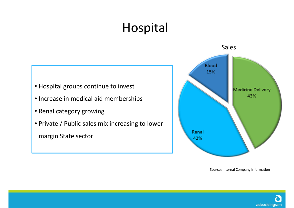# Hospital



Source: Internal Company Information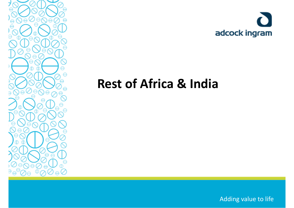



### **Rest of Africa & India**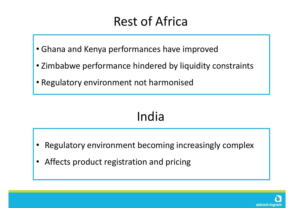### Rest of Africa

- Ghana and Kenya performances have improved
- Zimbabwe performance hindered by liquidity constraints
- Regulatory environment not harmonised

# India

- •Regulatory environment becoming increasingly complex
- •Affects product registration and pricing